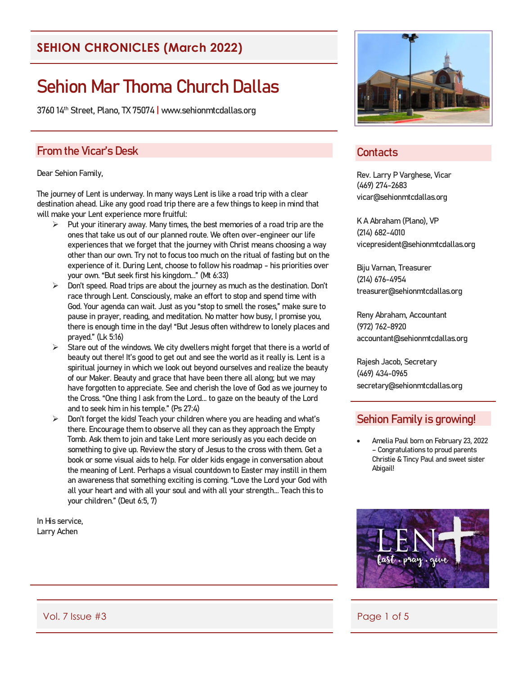#### **SEHION CHRONICLES (March 2022)**

# Sehion Mar Thoma Church Dallas

3760 14th Street, Plano, TX 75074 | www.sehionmtcdallas.org

#### From the Vicar's Desk

#### Dear Sehion Family,

The journey of Lent is underway. In many ways Lent is like a road trip with a clear destination ahead. Like any good road trip there are a few things to keep in mind that will make your Lent experience more fruitful:

- Put your itinerary away. Many times, the best memories of a road trip are the ones that take us out of our planned route. We often over-engineer our life experiences that we forget that the journey with Christ means choosing a way other than our own. Try not to focus too much on the ritual of fasting but on the experience of it. During Lent, choose to follow his roadmap - his priorities over your own. "But seek first his kingdom..." (Mt 6:33)
- $\triangleright$  Don't speed. Road trips are about the journey as much as the destination. Don't race through Lent. Consciously, make an effort to stop and spend time with God. Your agenda can wait. Just as you "stop to smell the roses," make sure to pause in prayer, reading, and meditation. No matter how busy, I promise you, there is enough time in the day! "But Jesus often withdrew to lonely places and prayed." (Lk 5:16)
- $\triangleright$  Stare out of the windows. We city dwellers might forget that there is a world of beauty out there! It's good to get out and see the world as it really is. Lent is a spiritual journey in which we look out beyond ourselves and realize the beauty of our Maker. Beauty and grace that have been there all along; but we may have forgotten to appreciate. See and cherish the love of God as we journey to the Cross. "One thing I ask from the Lord... to gaze on the beauty of the Lord and to seek him in his temple." (Ps 27:4)
- $\triangleright$  Don't forget the kids! Teach your children where you are heading and what's there. Encourage them to observe all they can as they approach the Empty Tomb. Ask them to join and take Lent more seriously as you each decide on something to give up. Review the story of Jesus to the cross with them. Get a book or some visual aids to help. For older kids engage in conversation about the meaning of Lent. Perhaps a visual countdown to Easter may instill in them an awareness that something exciting is coming. "Love the Lord your God with all your heart and with all your soul and with all your strength... Teach this to your children." (Deut 6:5, 7)

In His service, Larry Achen



#### **Contacts**

Rev. Larry P Varghese, Vicar (469) 274-2683 vicar@sehionmtcdallas.org

K A Abraham (Plano), VP (214) 682-4010 vicepresident@sehionmtcdallas.org

Biju Varnan, Treasurer (214) 676-4954 treasurer@sehionmtcdallas.org

Reny Abraham, Accountant (972) 762-8920 accountant@sehionmtcdallas.org

Rajesh Jacob, Secretary (469) 434-0965 secretary@sehionmtcdallas.org

#### Sehion Family is growing!

• Amelia Paul born on February 23, 2022 – Congratulations to proud parents Christie & Tincy Paul and sweet sister Abigail!



Vol. 7 Issue #3 Page 1 of 5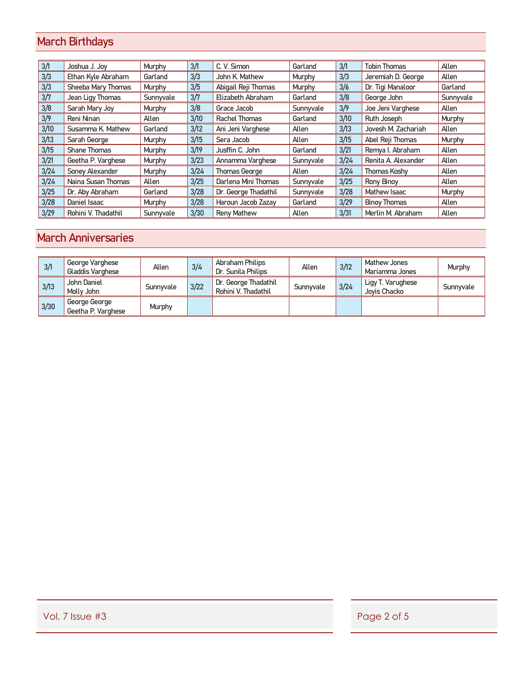## March Birthdays

| 3/1  | Joshua J. Joy       | Murphy    | 3/1  | C. V. Simon          | Garland   | 3/1  | <b>Tobin Thomas</b> | Allen     |
|------|---------------------|-----------|------|----------------------|-----------|------|---------------------|-----------|
| 3/3  | Ethan Kyle Abraham  | Garland   | 3/3  | John K. Mathew       | Murphy    | 3/3  | Jeremiah D. George  | Allen     |
| 3/3  | Sheeba Mary Thomas  | Murphy    | 3/5  | Abigail Reji Thomas  | Murphy    | 3/6  | Dr. Tigi Manaloor   | Garland   |
| 3/7  | Jean Ligy Thomas    | Sunnyvale | 3/7  | Elizabeth Abraham    | Garland   | 3/8  | George John         | Sunnyvale |
| 3/8  | Sarah Mary Joy      | Murphy    | 3/8  | Grace Jacob          | Sunnyvale | 3/9  | Joe Jeni Varghese   | Allen     |
| 3/9  | Reni Ninan          | Allen     | 3/10 | Rachel Thomas        | Garland   | 3/10 | Ruth Joseph         | Murphy    |
| 3/10 | Susamma K. Mathew   | Garland   | 3/12 | Ani Jeni Varghese    | Allen     | 3/13 | Jovesh M. Zachariah | Allen     |
| 3/13 | Sarah George        | Murphy    | 3/15 | Sera Jacob           | Allen     | 3/15 | Abel Reji Thomas    | Murphy    |
| 3/15 | <b>Shane Thomas</b> | Murphy    | 3/19 | Jusffin C. John      | Garland   | 3/21 | Remya I. Abraham    | Allen     |
| 3/21 | Geetha P. Varghese  | Murphy    | 3/23 | Annamma Varghese     | Sunnyvale | 3/24 | Renita A. Alexander | Allen     |
| 3/24 | Soney Alexander     | Murphy    | 3/24 | Thomas George        | Allen     | 3/24 | Thomas Koshy        | Allen     |
| 3/24 | Naina Susan Thomas  | Allen     | 3/25 | Darlena Mini Thomas  | Sunnyvale | 3/25 | <b>Rony Binoy</b>   | Allen     |
| 3/25 | Dr. Aby Abraham     | Garland   | 3/28 | Dr. George Thadathil | Sunnyvale | 3/28 | Mathew Isaac        | Murphy    |
| 3/28 | Daniel Isaac        | Murphy    | 3/28 | Haroun Jacob Zazav   | Garland   | 3/29 | <b>Binoy Thomas</b> | Allen     |
| 3/29 | Rohini V. Thadathil | Sunnyvale | 3/30 | <b>Reny Mathew</b>   | Allen     | 3/31 | Merlin M. Abraham   | Allen     |

## March Anniversaries

| 3/1  | George Varghese<br>Gladdis Varghese | Allen         | 3/4  | Abraham Philips<br>Dr. Sunila Philips       | Allen     | 3/12 | Mathew Jones<br>Mariamma Jones    | Murphy    |
|------|-------------------------------------|---------------|------|---------------------------------------------|-----------|------|-----------------------------------|-----------|
| 3/13 | John Daniel<br>Molly John           | Sunnyvale     | 3/22 | Dr. George Thadathil<br>Rohini V. Thadathil | Sunnyvale | 3/24 | Ligy T. Varughese<br>Jovis Chacko | Sunnyvale |
| 3/30 | George George<br>Geetha P. Varghese | <b>Murphy</b> |      |                                             |           |      |                                   |           |

Vol. 7 Issue #3 Page 2 of 5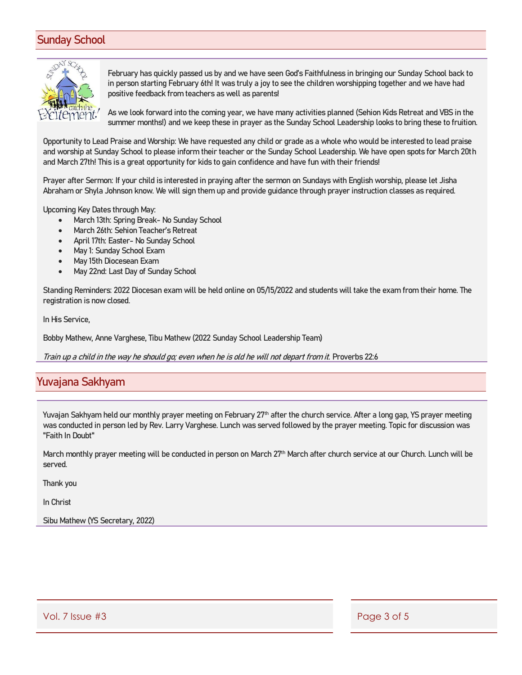### Sunday School



February has quickly passed us by and we have seen God's Faithfulness in bringing our Sunday School back to in person starting February 6th! It was truly a joy to see the children worshipping together and we have had positive feedback from teachers as well as parents!

As we look forward into the coming year, we have many activities planned (Sehion Kids Retreat and VBS in the summer months!) and we keep these in prayer as the Sunday School Leadership looks to bring these to fruition.

Opportunity to Lead Praise and Worship: We have requested any child or grade as a whole who would be interested to lead praise and worship at Sunday School to please inform their teacher or the Sunday School Leadership. We have open spots for March 20th and March 27th! This is a great opportunity for kids to gain confidence and have fun with their friends!

Prayer after Sermon: If your child is interested in praying after the sermon on Sundays with English worship, please let Jisha Abraham or Shyla Johnson know. We will sign them up and provide guidance through prayer instruction classes as required.

Upcoming Key Dates through May:

- March 13th: Spring Break- No Sunday School
- March 26th: Sehion Teacher's Retreat
- April 17th: Easter- No Sunday School
- May 1: Sunday School Exam
- May 15th Diocesean Exam
- May 22nd: Last Day of Sunday School

Standing Reminders: 2022 Diocesan exam will be held online on 05/15/2022 and students will take the exam from their home. The registration is now closed.

In His Service,

Bobby Mathew, Anne Varghese, Tibu Mathew (2022 Sunday School Leadership Team)

Train up a child in the way he should go; even when he is old he will not depart from it. Proverbs 22:6

#### Yuvajana Sakhyam

Yuvajan Sakhyam held our monthly prayer meeting on February 27<sup>th</sup> after the church service. After a long gap, YS prayer meeting was conducted in person led by Rev. Larry Varghese. Lunch was served followed by the prayer meeting. Topic for discussion was "Faith In Doubt"

March monthly prayer meeting will be conducted in person on March 27<sup>th</sup> March after church service at our Church. Lunch will be served.

Thank you

In Christ

Sibu Mathew (YS Secretary, 2022)

Vol. 7 Issue #3 Page 3 of 5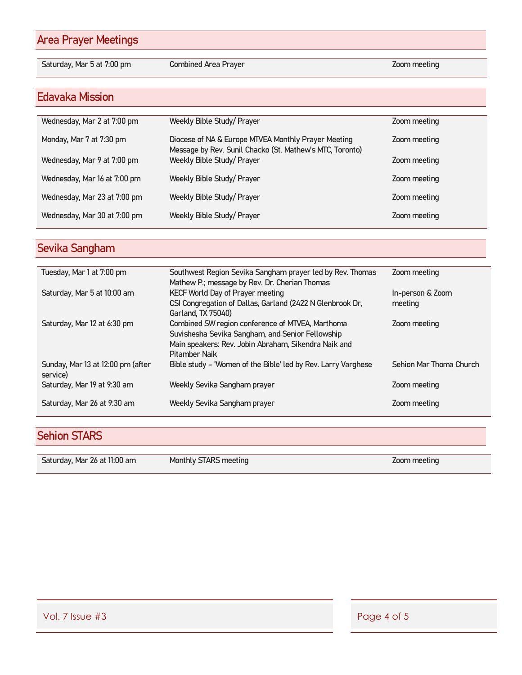## Area Prayer Meetings

Saturday, Mar 5 at 7:00 pm Combined Area Prayer November 2000 meeting

#### Edavaka Mission

| Wednesday, Mar 2 at 7:00 pm  | Weekly Bible Study/ Prayer                                                                                      | Zoom meeting |
|------------------------------|-----------------------------------------------------------------------------------------------------------------|--------------|
| Monday, Mar 7 at 7:30 pm     | Diocese of NA & Europe MTVEA Monthly Prayer Meeting<br>Message by Rev. Sunil Chacko (St. Mathew's MTC, Toronto) | Zoom meeting |
| Wednesday, Mar 9 at 7:00 pm  | Weekly Bible Study/ Prayer                                                                                      | Zoom meeting |
| Wednesday, Mar 16 at 7:00 pm | Weekly Bible Study/ Prayer                                                                                      | Zoom meeting |
| Wednesday, Mar 23 at 7:00 pm | Weekly Bible Study/Prayer                                                                                       | Zoom meeting |
| Wednesday, Mar 30 at 7:00 pm | Weekly Bible Study/Prayer                                                                                       | Zoom meeting |
|                              |                                                                                                                 |              |

## Sevika Sangham

| Tuesday, Mar 1 at 7:00 pm                     | Southwest Region Sevika Sangham prayer led by Rev. Thomas<br>Mathew P.; message by Rev. Dr. Cherian Thomas                                                                           | Zoom meeting                |
|-----------------------------------------------|--------------------------------------------------------------------------------------------------------------------------------------------------------------------------------------|-----------------------------|
| Saturday, Mar 5 at 10:00 am                   | <b>KECF World Day of Prayer meeting</b><br>CSI Congregation of Dallas, Garland (2422 N Glenbrook Dr.<br>Garland, TX 75040)                                                           | In-person & Zoom<br>meeting |
| Saturday, Mar 12 at 6:30 pm                   | Combined SW region conference of MTVEA, Marthoma<br>Suvishesha Sevika Sangham, and Senior Fellowship<br>Main speakers: Rev. Jobin Abraham, Sikendra Naik and<br><b>Pitamber Naik</b> | Zoom meeting                |
| Sunday, Mar 13 at 12:00 pm (after<br>service) | Bible study - 'Women of the Bible' led by Rev. Larry Varghese                                                                                                                        | Sehion Mar Thoma Church     |
| Saturday, Mar 19 at 9:30 am                   | Weekly Sevika Sangham prayer                                                                                                                                                         | Zoom meeting                |
| Saturday, Mar 26 at 9:30 am                   | Weekly Sevika Sangham prayer                                                                                                                                                         | Zoom meeting                |

## Sehion STARS

| Saturday, Mar 26 at 11:00 am | Monthly STARS meeting | Zoom meeting |
|------------------------------|-----------------------|--------------|
|                              |                       |              |